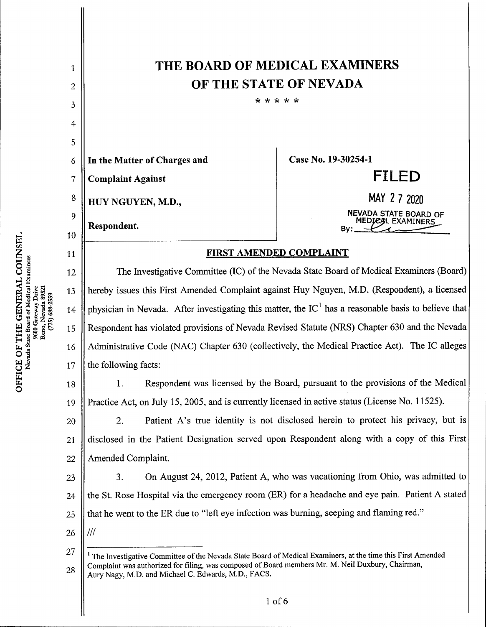THE BOARD OF MEDICAL EXAMINERS 1 OFTHE STATE OF NEVADA 2 •k k k k k 3 4 5 In the Matter of Charges and Case No. 19-30254-1 6 FILED 7 **Complaint Against** MAY 2 7 2020 8 HUY NGUYEN, M.D., NEVADA STATE BOARD OF 9 MEDIEAL EXAMINERS<br>By: Examiners Respondent. 10 FIRSTAMENDED COMPLAINT 11 The Investigative Committee (IC) of the Nevada State Board of Medical Examiners (Board) 12 hereby issues this First Amended Complaint against Huy Nguyen, M.D. (Respondent), a licensed 13 physician in Nevada. After investigating this matter, the  $IC<sup>1</sup>$  has a reasonable basis to believe that 14 Respondent has violated provisions of Nevada Revised Statute (NRS) Chapter 630 and the Nevada 15 Administrative Code (NAC) Chapter 630 (collectively, the Medical Practice Act). The IC alleges 16 the following facts: 17 1. Respondent was licensed by the Board, pursuant to the provisions of the Medical 18 2. Patient A's true identity is not disclosed herein to protect his privacy, but is<br>2. Patient A's true identity is not disclosed herein to protect his privacy, but is Practice Act, on July 15, 2005, and is currently licensed in active status (License No. 11525). 19 20 disclosed in the Patient Designation served upon Respondent along with a copy of this First 21 Amended Complaint. 22 3. On August 24, 2012, Patient A, who was vacationing from Ohio, was admitted to 23 the St. Rose Hospital via the emergency room (ER) for a headache and eye pain. Patient A stated 24 that he went to the ER due to "left eye infection was burning, seeping and flaming red." 25 26  $III$ 27  $<sup>1</sup>$  The Investigative Committee of the Nevada State Board of Medical Examiners, at the time this First Amended</sup> Complaint was authorized for filing, was composed of Board members Mr. M. Neil Duxbury, Chairman, 28 Aury Nagy, M.D. and Michael C. Edwards, M.D., FACS.

CC<br>xanix Reno, Nevada 89521  $(775)$  688-2559 OF T]<br>ada State gž<br>C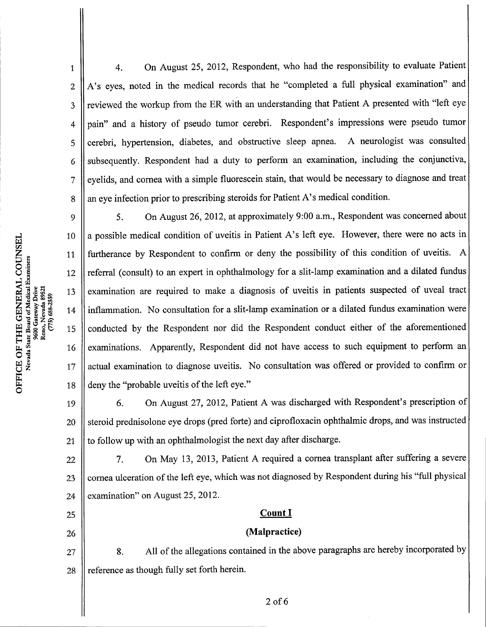4.On August 25, 2012, Respondent, who had the responsibility to evaluate Patient A's eyes, noted in the medical records that he "completed a full physical examination" and reviewed the workup from the ER with an understanding that Patient A presented with "left eye pain" and a history of pseudo tumor cerebri. Respondent's impressions were pseudo tumor cerebri, hypertension, diabetes, and obstructive sleep apnea. A neurologist was consulted subsequently. Respondent had a duty to perform an examination, including the conjunctiva, eyelids, and cornea with a simple fluorescein stain, that would be necessary to diagnose and treat an eye infection prior to prescribing steroids for Patient A's medical condition.

5. On August 26, 2012, at approximately 9:00 a.m., Respondent was concerned about 9 a possible medical condition of uveitis in Patient A's left eye. However, there were no acts in 10 furtherance by Respondent to confirm or deny the possibility of this condition of uveitis. A 11 referral (consult) to an expert in ophthalmology for a slit-lamp examination and a dilated fundus 12 examination are required to make a diagnosis of uveitis in patients suspected of uveal tract 13 inflammation. No consultation for a slit-lamp examination or a dilated fundus examination were 14 conducted by the Respondent nor did the Respondent conduct either of the aforementioned 15 examinations. Apparently, Respondent did not have access to such equipment to perform an 16 actual examination to diagnose uveitis. No consultation was offered or provided to confirm or 17 deny the "probable uveitis of the left eye." 18

6. On August 27, 2012, Patient A was discharged with Respondent's prescription of steroid prednisolone eye drops(pred forte) and ciprofloxacin ophthalmic drops, and was instructed to follow up with an ophthalmologist the next day after discharge. 19 20 21

7. On May 13, 2013, Patient A required a cornea transplant after suffering a severe cornea ulceration of the left eye, which was not diagnosed by Respondent during his "full physical examination" on August 25, 2012. 22 23 24

# Count<sub>I</sub>

### (Malpractice)

8. All of the allegations contained in the above paragraphs are hereby incorporated by reference as though fully set forth herein. 27 28

w

o

1

2

3

4

5

6

7

8

25

26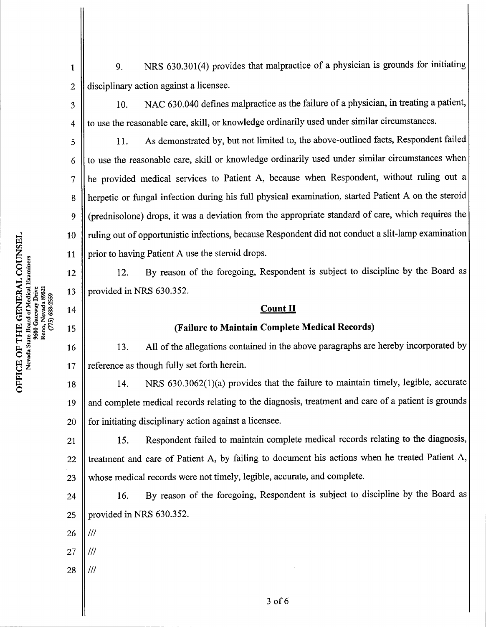9. NRS 630.301(4) provides that malpractice of a physician is grounds for initiating disciplinary action against a licensee.

2 3

4

5

6

7

8

9

10

11

12

13

14

15

16

17

1

10. NAC 630.040 defines malpractice as the failure of a physician, in treating a patient, to use the reasonable care, skill, or knowledge ordinarily used under similar circumstances.

11. As demonstrated by, but not limited to, the above-outlined facts, Respondent failed to use the reasonable care, skill or knowledge ordinarily used under similar circumstances when he provided medical services to Patient A, because when Respondent, without ruling out a herpetic or fungal infection during his full physical examination, started Patient A on the steroid (prednisolone) drops, it was a deviation from the appropriate standard of care, which requires the ruling out of opportunistic infections, because Respondent did not conduct a slit-lamp examination prior to having Patient A use the steroid drops.

12. By reason of the foregoing, Respondent is subject to discipline by the Board as provided in NRS 630.352.

# **Count II**

## (Failure to Maintain Complete Medical Records)

13. All of the allegations contained in the above paragraphs are hereby incorporated by reference as though fully set forth herein.

14. NRS 630.3062(1)(a) provides that the failure to maintain timely, legible, accurate and complete medical records relating to the diagnosis, treatment and care of a patient is grounds for initiating disciplinary action against a licensee. 18 19 20

15. Respondent failed to maintain complete medical records relating to the diagnosis, treatment and care of Patient A, by failing to document his actions when he treated Patient A, whose medical records were not timely, legible, accurate, and complete. 21 22 23

16. By reason of the foregoing, Respondent is subject to discipline by the Board as provided in NRS 630.352. 24 25

- $III$ 26
- 27  $III$
- 28

 $^{\prime\prime\prime}$ 

Reno, Nevada 8952  $(775)$  688-2559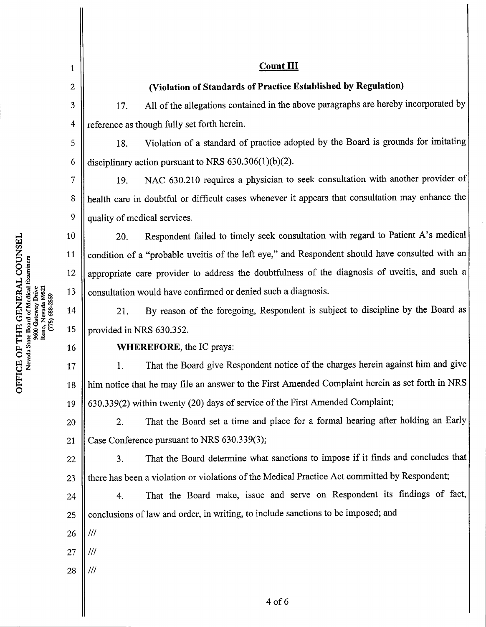| 1              | <b>Count III</b>                                                                                 |  |
|----------------|--------------------------------------------------------------------------------------------------|--|
| $\overline{2}$ | (Violation of Standards of Practice Established by Regulation)                                   |  |
| 3              | All of the allegations contained in the above paragraphs are hereby incorporated by<br>17.       |  |
| $\overline{4}$ | reference as though fully set forth herein.                                                      |  |
| 5              | Violation of a standard of practice adopted by the Board is grounds for imitating<br>18.         |  |
| 6              | disciplinary action pursuant to NRS 630.306(1)(b)(2).                                            |  |
| 7              | NAC 630.210 requires a physician to seek consultation with another provider of<br>19.            |  |
| 8              | health care in doubtful or difficult cases whenever it appears that consultation may enhance the |  |
| 9              | quality of medical services.                                                                     |  |
| 10             | Respondent failed to timely seek consultation with regard to Patient A's medical<br>20.          |  |
| 11             | condition of a "probable uveitis of the left eye," and Respondent should have consulted with an  |  |
| 12             | appropriate care provider to address the doubtfulness of the diagnosis of uveitis, and such a    |  |
| 13             | consultation would have confirmed or denied such a diagnosis.                                    |  |
| 14             | By reason of the foregoing, Respondent is subject to discipline by the Board as<br>21.           |  |
| 15             | provided in NRS 630.352.                                                                         |  |
| 16             | <b>WHEREFORE</b> , the IC prays:                                                                 |  |
| 17             | That the Board give Respondent notice of the charges herein against him and give<br>1.           |  |
| 18             | him notice that he may file an answer to the First Amended Complaint herein as set forth in NRS  |  |
| 19             | 630.339(2) within twenty (20) days of service of the First Amended Complaint;                    |  |
| 20             | That the Board set a time and place for a formal hearing after holding an Early<br>2.            |  |
| 21             | Case Conference pursuant to NRS 630.339(3);                                                      |  |
| 22             | That the Board determine what sanctions to impose if it finds and concludes that<br>3.           |  |
| 23             | there has been a violation or violations of the Medical Practice Act committed by Respondent;    |  |
| 24             | That the Board make, issue and serve on Respondent its findings of fact,<br>4.                   |  |
| 25             | conclusions of law and order, in writing, to include sanctions to be imposed; and                |  |
| 26             | ///                                                                                              |  |
| 27             | 111                                                                                              |  |
| 28             | ///                                                                                              |  |
|                | 4 of 6                                                                                           |  |

띥<br>20

o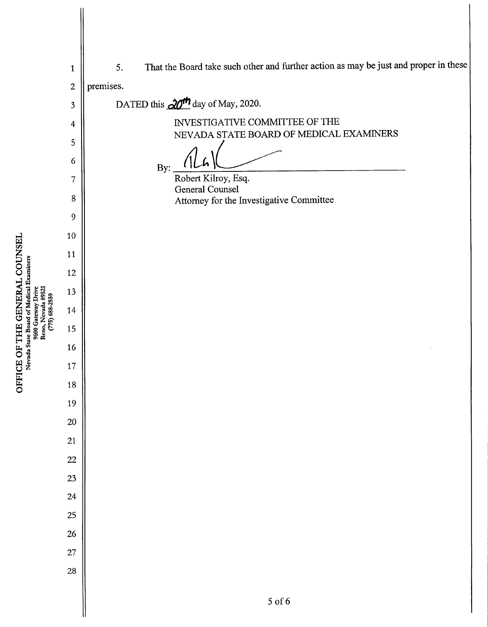5 of 6 Robert Kilroy, Esq. General Counsel Attorney for the Investigative Committee Bv: 5. That the Board take such other and further action as may be just and proper in these premises. DATED this  $\frac{\partial u}{\partial t}$  day of May, 2020. INVESTIGATIVE COMMITTEE OF THE NEVADA STATE BOARD OF MEDICAL EXAMINERS  $\Xi$   $^{3}_{5}$   $^{3}_{8}$   $^{3}_{5}$   $^{3}_{9}$  $\rm{G}$ <br> $\rm{H}$   $\rm{H}$   $\rm{H}$ <br> $\rm{H}$   $\rm{H}$   $\rm{H}$ <br> $\rm{H}$   $\rm{H}$   $\rm{H}$ <br> $\rm{H}$ <br> $\rm{H}$   $\rm{H}$   $\rm{H}$ <br> $\rm{H}$ <br> $\rm{H}$   $\rm{H}$ <br> $\rm{H}$   $\rm{H}$ <br> $\rm{H}$   $\rm{H}$ <br> $\rm{H}$   $\rm{H}$   $\rm{H}$ <br> $\rm{H}$   $\rm{H}$   $\rm{H}$ 

Nevada State Board of Medical Examiners

**w** 

ل CC<br>معمد